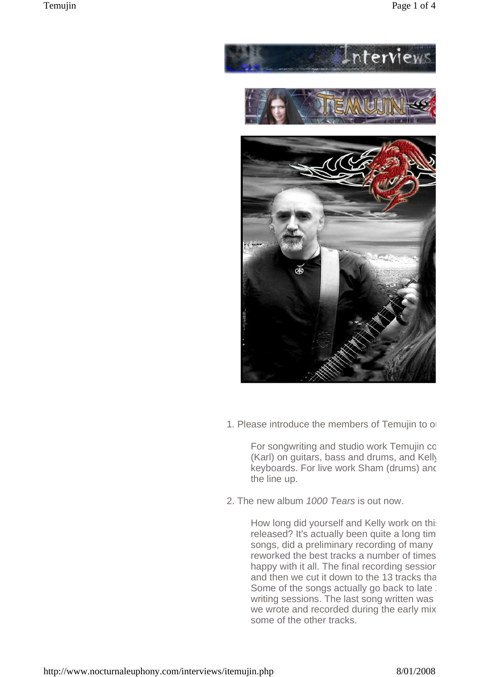

1. Please introduce the members of Temujin to o

For songwriting and studio work Temujin cc (Karl) on quitars, bass and drums, and Kelly keyboards. For live work Sham (drums) and the line up.

2. The new album 1000 Tears is out now.

How long did yourself and Kelly work on this released? It's actually been quite a long tim songs, did a preliminary recording of many reworked the best tracks a number of times happy with it all. The final recording sessior and then we cut it down to the 13 tracks that Some of the songs actually go back to late : writing sessions. The last song written was we wrote and recorded during the early mix some of the other tracks.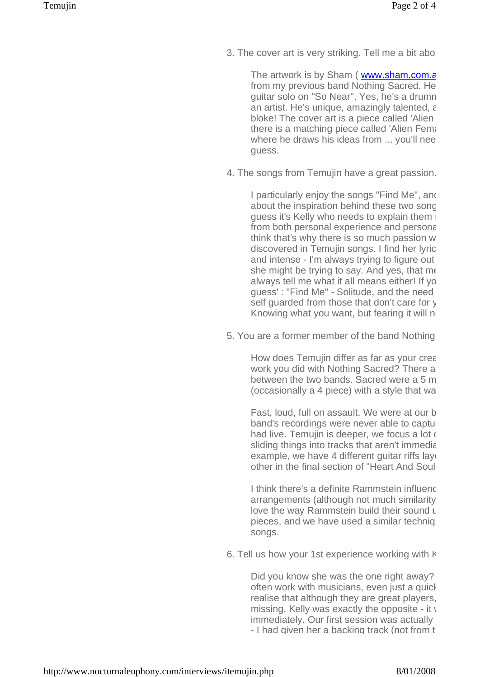3. The cover art is very striking. Tell me a bit about

The artwork is by Sham ( www.sham.com.a from my previous band Nothing Sacred. He guitar solo on "So Near". Yes, he's a drumn an artist. He's unique, amazingly talented,  $\varepsilon$ bloke! The cover art is a piece called 'Alien there is a matching piece called 'Alien Femal where he draws his ideas from ... you'll nee guess.

4. The songs from Temujin have a great passion.

I particularly enjoy the songs "Find Me", and about the inspiration behind these two song guess it's Kelly who needs to explain them  $\mathbb{I}$ from both personal experience and personal think that's why there is so much passion w discovered in Temujin songs. I find her lyric and intense - I'm always trying to figure out she might be trying to say. And yes, that meanalways tell me what it all means either! If yo quess' : "Find Me" - Solitude, and the need self guarded from those that don't care for y Knowing what you want, but fearing it will ne

5. You are a former member of the band Nothing.

How does Temujin differ as far as your creative work you did with Nothing Sacred? There a between the two bands. Sacred were a 5 m  $(occasionally a 4 piece) with a style that  $wa$$ 

Fast, loud, full on assault. We were at our beband's recordings were never able to captu had live. Temujin is deeper, we focus a lot  $\epsilon$ sliding things into tracks that aren't immediation example, we have 4 different quitar riffs layer other in the final section of "Heart And Soul".

I think there's a definite Rammstein influence arrangements (although not much similarity love the way Rammstein build their sound  $\iota$ pieces, and we have used a similar technique songs.

6. Tell us how your 1st experience working with K

Did you know she was the one right away? often work with musicians, even just a quick realise that although they are great players, missing. Kelly was exactly the opposite - it  $\sqrt{ }$ immediately. Our first session was actually - I had given her a backing track (not from the album)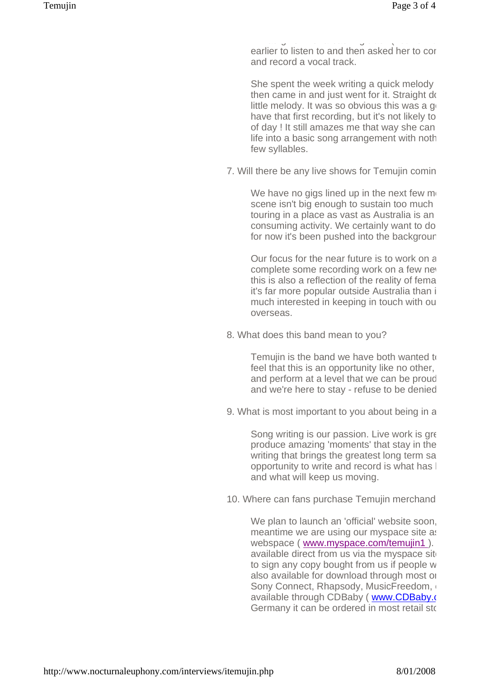- I had given her a backing track (not from the album) a week earlier to listen to and then asked her to cor and record a vocal track.

She spent the week writing a quick melody then came in and just went for it. Straight down little melody. It was so obvious this was a good have that first recording, but it's not likely to of day ! It still amazes me that way she can life into a basic song arrangement with noth few syllables.

7. Will there be any live shows for Temujin coming

We have no gigs lined up in the next few  $m<sub>1</sub>$ scene isn't big enough to sustain too much touring in a place as vast as Australia is an consuming activity. We certainly want to do for now it's been pushed into the backgrour

Our focus for the near future is to work on a complete some recording work on a few new this is also a reflection of the reality of femal it's far more popular outside Australia than in. much interested in keeping in touch with our overseas.

8. What does this band mean to you?

Temujin is the band we have both wanted to feel that this is an opportunity like no other, and perform at a level that we can be proud and we're here to stay - refuse to be denied

9. What is most important to you about being in a

Song writing is our passion. Live work is great produce amazing 'moments' that stay in the writing that brings the greatest long term satisfaction. opportunity to write and record is what has  $\vert$ and what will keep us moving.

10. Where can fans purchase Temujin merchand

We plan to launch an 'official' website soon, meantime we are using our myspace site as webspace ( [www.myspace.com/temujin1](http://www.myspace.com/temujin1) ). available direct from us via the myspace site to sign any copy bought from us if people w also available for download through most on Sony Connect, Rhapsody, MusicFreedom, available through CDBaby ([www.CDBaby.com](http://www.CDBaby.com) Germany it can be ordered in most retail sto